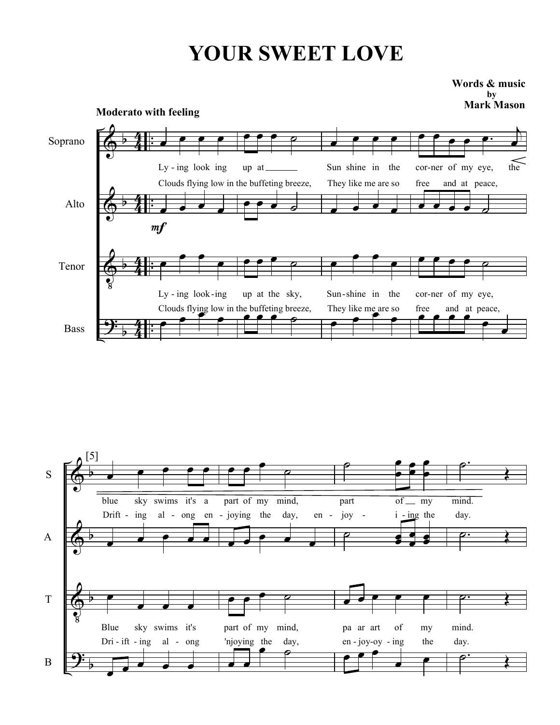## YOUR SWEET LOVE

Mark Mason Words & music by



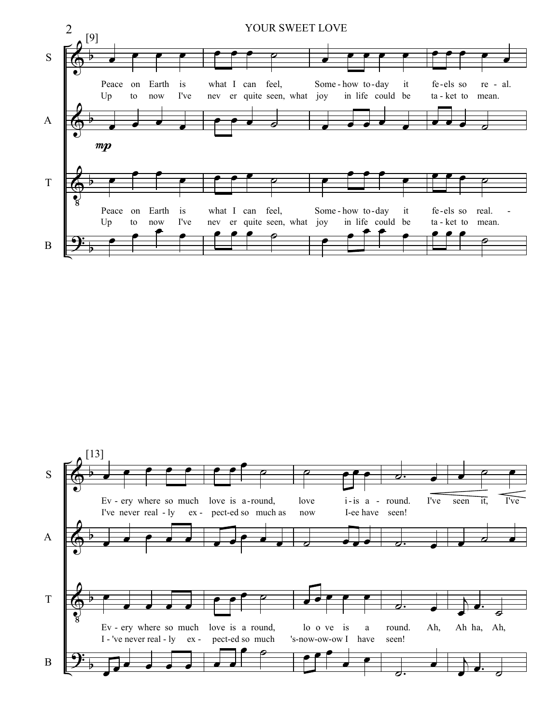

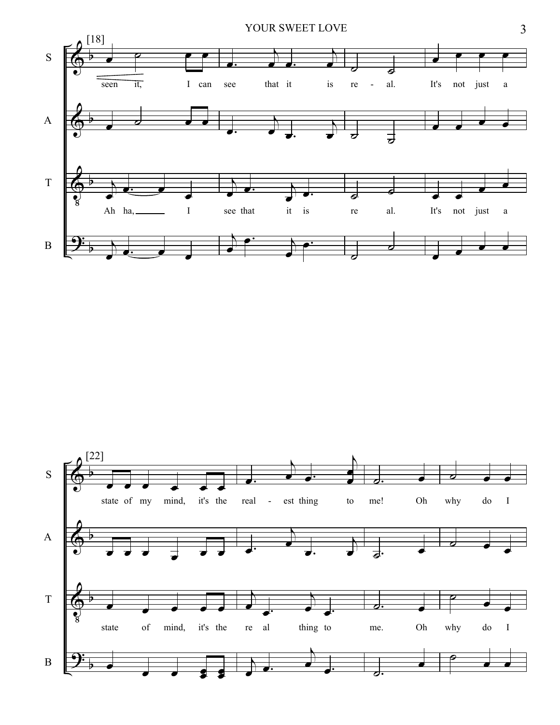

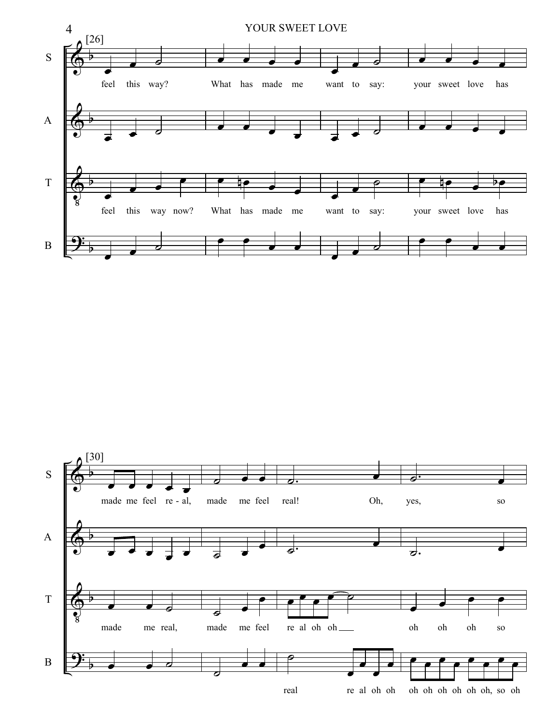

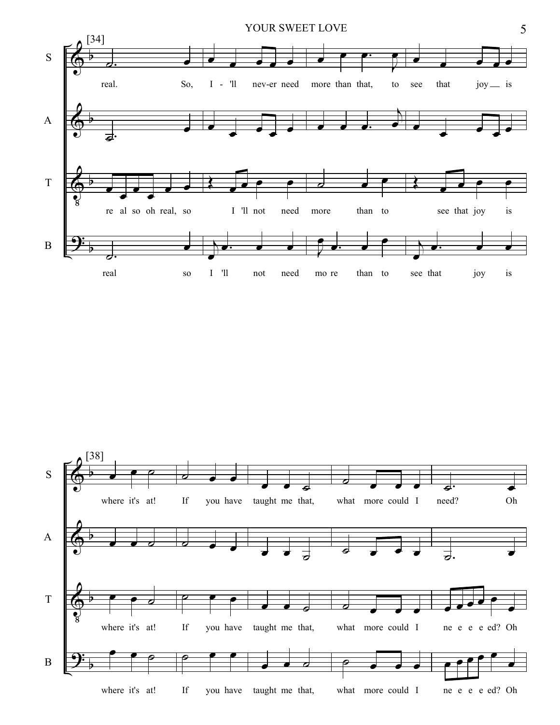

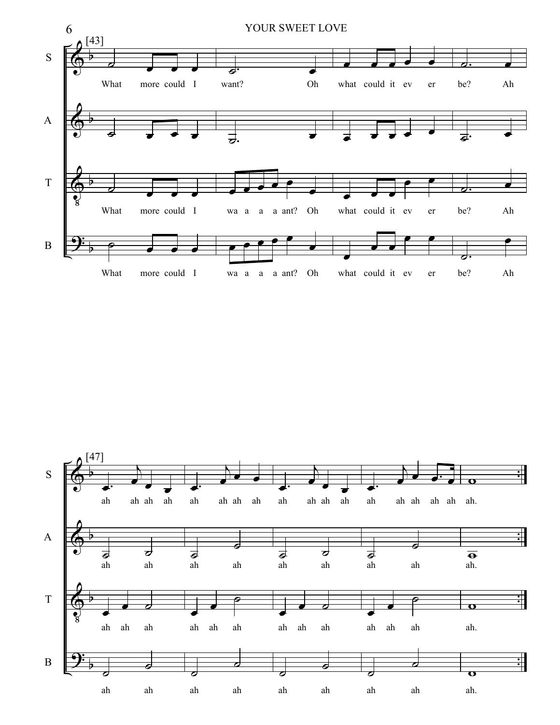